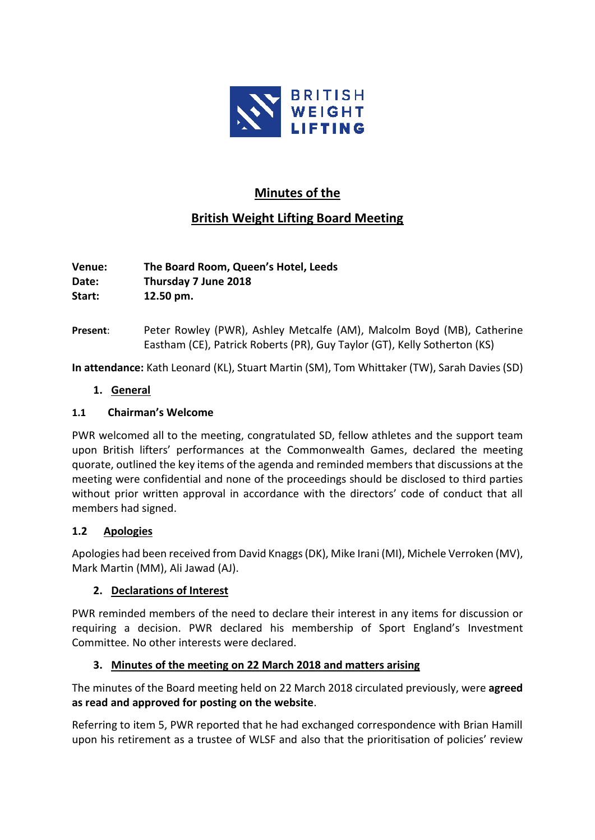

# **Minutes of the**

# **British Weight Lifting Board Meeting**

**Venue: The Board Room, Queen's Hotel, Leeds Date: Thursday 7 June 2018 Start: 12.50 pm.**

**Present**: Peter Rowley (PWR), Ashley Metcalfe (AM), Malcolm Boyd (MB), Catherine Eastham (CE), Patrick Roberts (PR), Guy Taylor (GT), Kelly Sotherton (KS)

**In attendance:** Kath Leonard (KL), Stuart Martin (SM), Tom Whittaker (TW), Sarah Davies (SD)

### **1. General**

### **1.1 Chairman's Welcome**

PWR welcomed all to the meeting, congratulated SD, fellow athletes and the support team upon British lifters' performances at the Commonwealth Games, declared the meeting quorate, outlined the key items of the agenda and reminded members that discussions at the meeting were confidential and none of the proceedings should be disclosed to third parties without prior written approval in accordance with the directors' code of conduct that all members had signed.

# **1.2 Apologies**

Apologies had been received from David Knaggs (DK), Mike Irani (MI), Michele Verroken (MV), Mark Martin (MM), Ali Jawad (AJ).

# **2. Declarations of Interest**

PWR reminded members of the need to declare their interest in any items for discussion or requiring a decision. PWR declared his membership of Sport England's Investment Committee. No other interests were declared.

# **3. Minutes of the meeting on 22 March 2018 and matters arising**

The minutes of the Board meeting held on 22 March 2018 circulated previously, were **agreed as read and approved for posting on the website**.

Referring to item 5, PWR reported that he had exchanged correspondence with Brian Hamill upon his retirement as a trustee of WLSF and also that the prioritisation of policies' review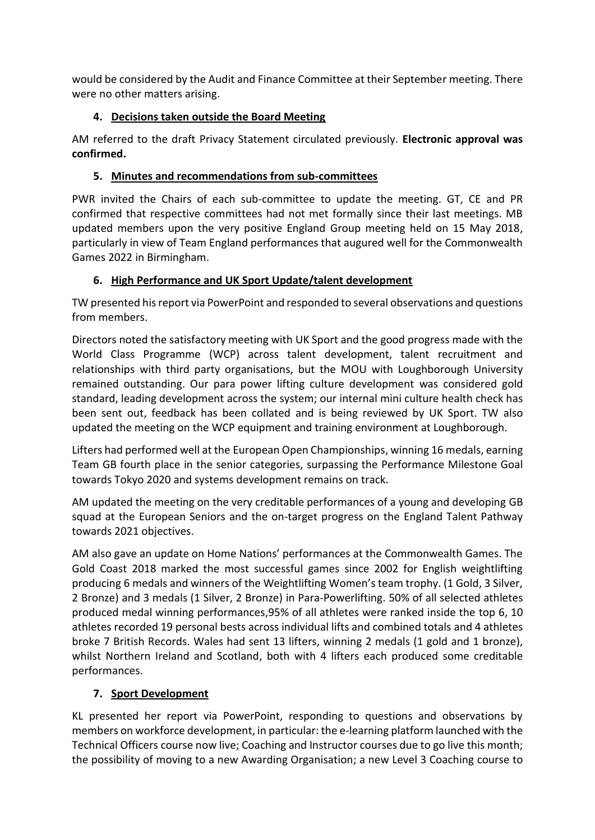would be considered by the Audit and Finance Committee at their September meeting. There were no other matters arising.

# **4. Decisions taken outside the Board Meeting**

AM referred to the draft Privacy Statement circulated previously. **Electronic approval was confirmed.**

# **5. Minutes and recommendations from sub-committees**

PWR invited the Chairs of each sub-committee to update the meeting. GT, CE and PR confirmed that respective committees had not met formally since their last meetings. MB updated members upon the very positive England Group meeting held on 15 May 2018, particularly in view of Team England performances that augured well for the Commonwealth Games 2022 in Birmingham.

# **6. High Performance and UK Sport Update/talent development**

TW presented his report via PowerPoint and responded to several observations and questions from members.

Directors noted the satisfactory meeting with UK Sport and the good progress made with the World Class Programme (WCP) across talent development, talent recruitment and relationships with third party organisations, but the MOU with Loughborough University remained outstanding. Our para power lifting culture development was considered gold standard, leading development across the system; our internal mini culture health check has been sent out, feedback has been collated and is being reviewed by UK Sport. TW also updated the meeting on the WCP equipment and training environment at Loughborough.

Lifters had performed well at the European Open Championships, winning 16 medals, earning Team GB fourth place in the senior categories, surpassing the Performance Milestone Goal towards Tokyo 2020 and systems development remains on track.

AM updated the meeting on the very creditable performances of a young and developing GB squad at the European Seniors and the on-target progress on the England Talent Pathway towards 2021 objectives.

AM also gave an update on Home Nations' performances at the Commonwealth Games. The Gold Coast 2018 marked the most successful games since 2002 for English weightlifting producing 6 medals and winners of the Weightlifting Women's team trophy. (1 Gold, 3 Silver, 2 Bronze) and 3 medals (1 Silver, 2 Bronze) in Para-Powerlifting. 50% of all selected athletes produced medal winning performances,95% of all athletes were ranked inside the top 6, 10 athletes recorded 19 personal bests across individual lifts and combined totals and 4 athletes broke 7 British Records. Wales had sent 13 lifters, winning 2 medals (1 gold and 1 bronze), whilst Northern Ireland and Scotland, both with 4 lifters each produced some creditable performances.

# **7. Sport Development**

KL presented her report via PowerPoint, responding to questions and observations by members on workforce development, in particular: the e-learning platform launched with the Technical Officers course now live; Coaching and Instructor courses due to go live this month; the possibility of moving to a new Awarding Organisation; a new Level 3 Coaching course to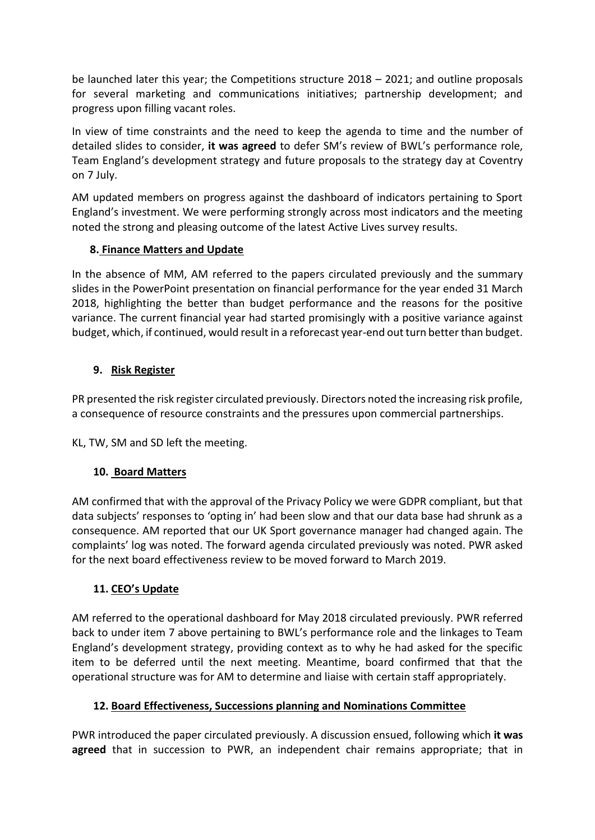be launched later this year; the Competitions structure 2018 – 2021; and outline proposals for several marketing and communications initiatives; partnership development; and progress upon filling vacant roles.

In view of time constraints and the need to keep the agenda to time and the number of detailed slides to consider, **it was agreed** to defer SM's review of BWL's performance role, Team England's development strategy and future proposals to the strategy day at Coventry on 7 July.

AM updated members on progress against the dashboard of indicators pertaining to Sport England's investment. We were performing strongly across most indicators and the meeting noted the strong and pleasing outcome of the latest Active Lives survey results.

### **8. Finance Matters and Update**

In the absence of MM, AM referred to the papers circulated previously and the summary slides in the PowerPoint presentation on financial performance for the year ended 31 March 2018, highlighting the better than budget performance and the reasons for the positive variance. The current financial year had started promisingly with a positive variance against budget, which, if continued, would result in a reforecast year-end out turn better than budget.

### **9. Risk Register**

PR presented the risk register circulated previously. Directors noted the increasing risk profile, a consequence of resource constraints and the pressures upon commercial partnerships.

KL, TW, SM and SD left the meeting.

# **10. Board Matters**

AM confirmed that with the approval of the Privacy Policy we were GDPR compliant, but that data subjects' responses to 'opting in' had been slow and that our data base had shrunk as a consequence. AM reported that our UK Sport governance manager had changed again. The complaints' log was noted. The forward agenda circulated previously was noted. PWR asked for the next board effectiveness review to be moved forward to March 2019.

### **11. CEO's Update**

AM referred to the operational dashboard for May 2018 circulated previously. PWR referred back to under item 7 above pertaining to BWL's performance role and the linkages to Team England's development strategy, providing context as to why he had asked for the specific item to be deferred until the next meeting. Meantime, board confirmed that that the operational structure was for AM to determine and liaise with certain staff appropriately.

### **12. Board Effectiveness, Successions planning and Nominations Committee**

PWR introduced the paper circulated previously. A discussion ensued, following which **it was agreed** that in succession to PWR, an independent chair remains appropriate; that in